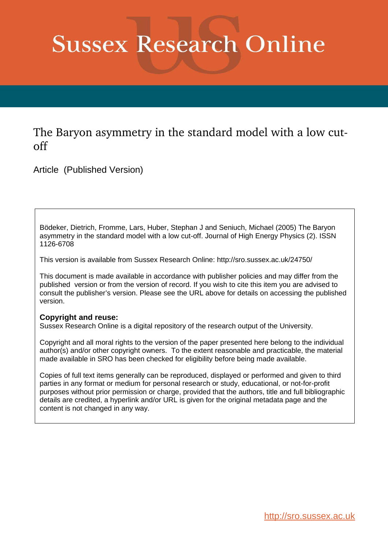# **Sussex Research Online**

The Baryon asymmetry in the standard model with a low cutoff

Article (Published Version)

Bödeker, Dietrich, Fromme, Lars, Huber, Stephan J and Seniuch, Michael (2005) The Baryon asymmetry in the standard model with a low cut-off. Journal of High Energy Physics (2). ISSN 1126-6708

This version is available from Sussex Research Online: http://sro.sussex.ac.uk/24750/

This document is made available in accordance with publisher policies and may differ from the published version or from the version of record. If you wish to cite this item you are advised to consult the publisher's version. Please see the URL above for details on accessing the published version.

#### **Copyright and reuse:**

Sussex Research Online is a digital repository of the research output of the University.

Copyright and all moral rights to the version of the paper presented here belong to the individual author(s) and/or other copyright owners. To the extent reasonable and practicable, the material made available in SRO has been checked for eligibility before being made available.

Copies of full text items generally can be reproduced, displayed or performed and given to third parties in any format or medium for personal research or study, educational, or not-for-profit purposes without prior permission or charge, provided that the authors, title and full bibliographic details are credited, a hyperlink and/or URL is given for the original metadata page and the content is not changed in any way.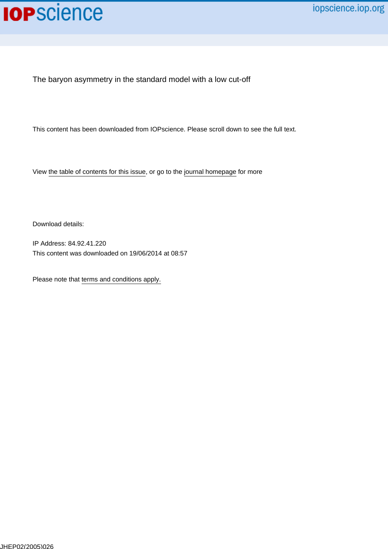## **IOP**science

The baryon asymmetry in the standard model with a low cut-off

This content has been downloaded from IOPscience. Please scroll down to see the full text.

View [the table of contents for this issue](http://iopscience.iop.org/1126-6708/2005/02), or go to the [journal homepage](http://iopscience.iop.org/1126-6708) for more

Download details:

IP Address: 84.92.41.220 This content was downloaded on 19/06/2014 at 08:57

Please note that [terms and conditions apply.](iopscience.iop.org/page/terms)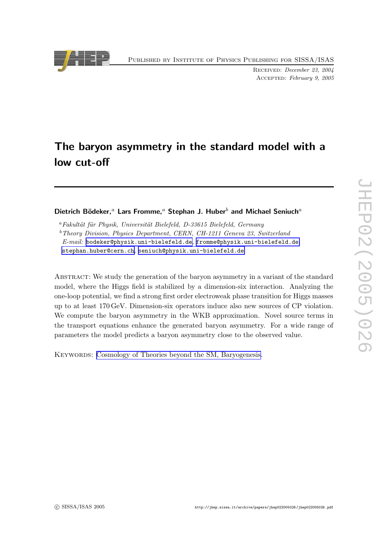Published by Institute of Physics Publishing for SISSA/ISA S

Received: December 23, 2004 Accepted: February 9, 2005

### The baryon asymmetry in the standard model with a low cut-off

#### Dietrich Bödeker,<sup>a</sup> Lars Fromme,<sup>a</sup> Stephan J. Huber<sup>b</sup> and Michael Seniuch<sup>a</sup>

 ${}^a$ Fakultät für Physik, Universität Bielefeld, D-33615 Bielefeld, Germany <sup>b</sup>Theory Division, Physics Department, CERN, CH-1211 Geneva 23, Switzerland  $E\text{-}mail:$  [bodeker@physik.uni-bielefeld.de](mailto:bodeker@physik.uni-bielefeld.de), [fromme@physik.uni-bielefeld.de](mailto:fromme@physik.uni-bielefeld.de), [stephan.huber@cern.ch](mailto:stephan.huber@cern.ch) , [seniuch@physik.uni-bielefeld.de](mailto:seniuch@physik.uni-bielefeld.de)

Abstract: We study the generation of the baryon asymmetry in a variant of the standard model, where the Higgs field is stabilized by a dimension-six interaction. Analyzing the one-loop potential, we find a strong first order electroweak phase transition for Higgs masses up to at least 170 GeV. Dimension-six operators induce also new sources of CP violation. We compute the baryon asymmetry in the WKB approximation. Novel source terms in the transport equations enhance the generated baryon asymmetry. For a wide range of parameters the model predicts a baryon asymmetry close to the observed value.

KEYWORDS: [Cosmology of Theories beyond the SM, Baryogenesis.](http://jhep.sissa.it/stdsearch?keywords=Cosmology_of_Theories_beyond_the_SM+Baryogenesis)

<span id="page-2-0"></span>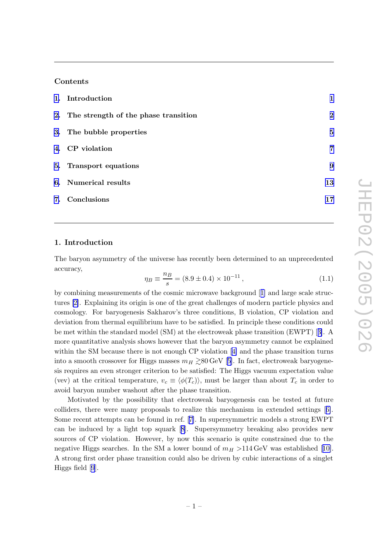#### <span id="page-3-0"></span>Contents

| 1. Introduction                         | $\mathbf{1}$ |
|-----------------------------------------|--------------|
| 2. The strength of the phase transition | $\bf{2}$     |
| 3. The bubble properties                | 5            |
| 4. CP violation                         | 7            |
| 5. Transport equations                  | 9            |
| 6. Numerical results                    | 13           |
| 7. Conclusions                          | 17           |

#### 1. Introduction

The baryon asymmetry of the universe has recently been determined to an unprecedented accuracy,

$$
\eta_B \equiv \frac{n_B}{s} = (8.9 \pm 0.4) \times 10^{-11},\tag{1.1}
$$

by combining measurements of the cosmic microwave background[[1\]](#page-19-0) and large scale structures [\[2\]](#page-19-0). Explaining its origin is one of the great challenges of modern particle physics and cosmology. For baryogenesis Sakharov's three conditions, B violation, CP violation and deviation from thermal equilibrium have to be satisfied. In principle these conditions could be met within the standard model (SM) at the electroweak phase transition (EWPT) [[3\]](#page-19-0). A more quantitative analysis shows however that the baryon asymmetry cannot be explained within the SM because there is not enough CP violation[[4\]](#page-19-0) and the phase transition turns intoa smooth crossover for Higgs masses  $m_H \gtrsim \!\! 80\,\text{GeV}$  [[5](#page-19-0)]. In fact, electroweak baryogenesis requires an even stronger criterion to be satisfied: The Higgs vacuum expectation value (vev) at the critical temperature,  $v_c \equiv \langle \phi(T_c) \rangle$ , must be larger than about  $T_c$  in order to avoid baryon number washout after the phase transition.

Motivated by the possibility that electroweak baryogenesis can be tested at future colliders, there were many proposals to realize this mechanism in extended settings[[6\]](#page-19-0). Some recent attempts can be found in ref. [\[7\]](#page-20-0). In supersymmetric models a strong EWPT can be induced by a light top squark[[8](#page-20-0)]. Supersymmetry breaking also provides new sources of CP violation. However, by now this scenario is quite constrained due to the negativeHiggs searches. In the SM a lower bound of  $m_H > 114 \,\text{GeV}$  was established [[10\]](#page-20-0). A strong first order phase transition could also be driven by cubic interactions of a singlet Higgs field[[9](#page-20-0)].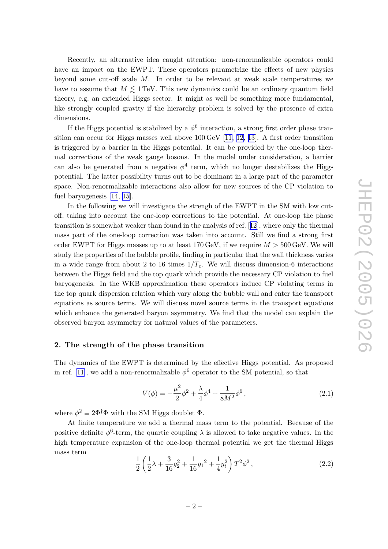<span id="page-4-0"></span>Recently, an alternative idea caught attention: non-renormalizable operators could have an impact on the EWPT. These operators parametrize the effects of new physics beyond some cut-off scale M. In order to be relevant at weak scale temperatures we have to assume that  $M \lesssim 1\,\text{TeV}$ . This new dynamics could be an ordinary quantum field theory, e.g. an extended Higgs sector. It might as well be something more fundamental, like strongly coupled gravity if the hierarchy problem is solved by the presence of extra dimensions.

If the Higgs potential is stabilized by a  $\phi^6$  interaction, a strong first order phase transition can occur for Higgs masses well above 100 GeV[[11, 12, 13\]](#page-20-0). A first order transition is triggered by a barrier in the Higgs potential. It can be provided by the one-loop thermal corrections of the weak gauge bosons. In the model under consideration, a barrier can also be generated from a negative  $\phi^4$  term, which no longer destabilizes the Higgs potential. The latter possibility turns out to be dominant in a large part of the parameter space. Non-renormalizable interactions also allow for new sources of the CP violation to fuel baryogenesis [\[14](#page-20-0), [15\]](#page-20-0).

In the following we will investigate the strengh of the EWPT in the SM with low cutoff, taking into account the one-loop corrections to the potential. At one-loop the phase transition is somewhat weaker than found in the analysis of ref. [[12](#page-20-0)], where only the thermal mass part of the one-loop correction was taken into account. Still we find a strong first order EWPT for Higgs masses up to at least  $170\,\text{GeV}$ , if we require  $M > 500\,\text{GeV}$ . We will study the properties of the bubble profile, finding in particular that the wall thickness varies in a wide range from about 2 to 16 times  $1/T_c$ . We will discuss dimension-6 interactions between the Higgs field and the top quark which provide the necessary CP violation to fuel baryogenesis. In the WKB approximation these operators induce CP violating terms in the top quark dispersion relation which vary along the bubble wall and enter the transport equations as source terms. We will discuss novel source terms in the transport equations which enhance the generated baryon asymmetry. We find that the model can explain the observed baryon asymmetry for natural values of the parameters.

#### 2. The strength of the phase transition

The dynamics of the EWPT is determined by the effective Higgs potential. As proposed in ref. [\[11](#page-20-0)], we add a non-renormalizable  $\phi^6$  operator to the SM potential, so that

$$
V(\phi) = -\frac{\mu^2}{2}\phi^2 + \frac{\lambda}{4}\phi^4 + \frac{1}{8M^2}\phi^6\,,\tag{2.1}
$$

where  $\phi^2 \equiv 2\Phi^{\dagger} \Phi$  with the SM Higgs doublet  $\Phi$ .

At finite temperature we add a thermal mass term to the potential. Because of the positive definite  $\phi^6$ -term, the quartic coupling  $\lambda$  is allowed to take negative values. In the high temperature expansion of the one-loop thermal potential we get the thermal Higgs mass term

$$
\frac{1}{2}\left(\frac{1}{2}\lambda + \frac{3}{16}g_2^2 + \frac{1}{16}g_1^2 + \frac{1}{4}y_t^2\right)T^2\phi^2\,,\tag{2.2}
$$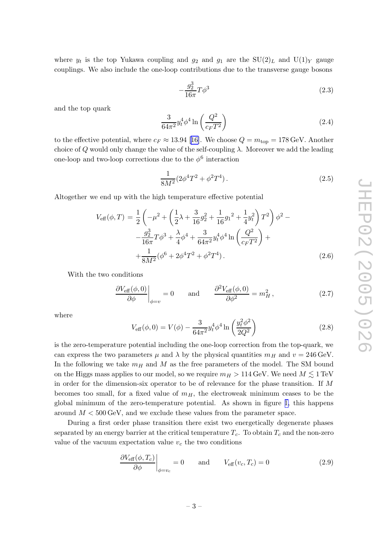<span id="page-5-0"></span>where  $y_t$  is the top Yukawa coupling and  $g_2$  and  $g_1$  are the  $SU(2)_L$  and  $U(1)_Y$  gauge couplings. We also include the one-loop contributions due to the transverse gauge bosons

$$
-\frac{g_2^3}{16\pi}T\phi^3\tag{2.3}
$$

and the top quark

$$
\frac{3}{64\pi^2} y_t^4 \phi^4 \ln\left(\frac{Q^2}{c_F T^2}\right) \tag{2.4}
$$

tothe effective potential, where  $c_F \approx 13.94$  [[16\]](#page-20-0). We choose  $Q = m_{\text{top}} = 178 \,\text{GeV}$ . Another choice of Q would only change the value of the self-coupling  $\lambda$ . Moreover we add the leading one-loop and two-loop corrections due to the  $\phi^6$  interaction

$$
\frac{1}{8M^2} (2\phi^4 T^2 + \phi^2 T^4). \tag{2.5}
$$

Altogether we end up with the high temperature effective potential

$$
V_{\text{eff}}(\phi, T) = \frac{1}{2} \left( -\mu^2 + \left( \frac{1}{2} \lambda + \frac{3}{16} g_2^2 + \frac{1}{16} g_1^2 + \frac{1}{4} y_t^2 \right) T^2 \right) \phi^2 -
$$
  

$$
- \frac{g_2^3}{16\pi} T \phi^3 + \frac{\lambda}{4} \phi^4 + \frac{3}{64\pi^2} y_t^4 \phi^4 \ln \left( \frac{Q^2}{c_F T^2} \right) +
$$
  

$$
+ \frac{1}{8M^2} (\phi^6 + 2\phi^4 T^2 + \phi^2 T^4).
$$
 (2.6)

With the two conditions

$$
\left. \frac{\partial V_{\text{eff}}(\phi,0)}{\partial \phi} \right|_{\phi=v} = 0 \quad \text{and} \quad \frac{\partial^2 V_{\text{eff}}(\phi,0)}{\partial \phi^2} = m_H^2, \tag{2.7}
$$

where

$$
V_{\text{eff}}(\phi,0) = V(\phi) - \frac{3}{64\pi^2} y_t^4 \phi^4 \ln\left(\frac{y_t^2 \phi^2}{2Q^2}\right)
$$
 (2.8)

is the zero-temperature potential including the one-loop correction from the top-quark, we can express the two parameters  $\mu$  and  $\lambda$  by the physical quantities  $m_H$  and  $v = 246 \,\text{GeV}$ . In the following we take  $m_H$  and M as the free parameters of the model. The SM bound on the Higgs mass applies to our model, so we require  $m_H > 114\,\text{GeV}.$  We need  $M \lesssim 1\,\text{TeV}$ in order for the dimension-six operator to be of relevance for the phase transition. If M becomes too small, for a fixed value of  $m_H$ , the electroweak minimum ceases to be the global minimum of the zero-temperature potential. As shown in figure 1, this happens around  $M < 500 \,\text{GeV}$ , and we exclude these values from the parameter space.

During a first order phase transition there exist two energetically degenerate phases separated by an energy barrier at the critical temperature  $T_c$ . To obtain  $T_c$  and the non-zero value of the vacuum expectation value  $v_c$  the two conditions

$$
\left. \frac{\partial V_{\text{eff}}(\phi, T_c)}{\partial \phi} \right|_{\phi = v_c} = 0 \quad \text{and} \quad V_{\text{eff}}(v_c, T_c) = 0 \tag{2.9}
$$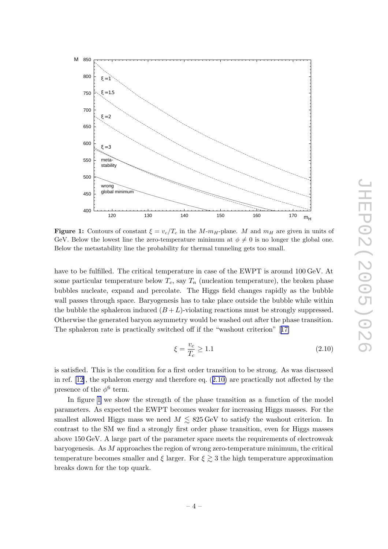<span id="page-6-0"></span>

**Figure 1:** Contours of constant  $\xi = v_c/T_c$  in the M- $m_H$ -plane. M and  $m_H$  are given in units of GeV. Below the lowest line the zero-temperature minimum at  $\phi \neq 0$  is no longer the global one. Below the metastability line the probability for thermal tunneling gets too small.

have to be fulfilled. The critical temperature in case of the EWPT is around 100 GeV. At some particular temperature below  $T_c$ , say  $T_n$  (nucleation temperature), the broken phase bubbles nucleate, expand and percolate. The Higgs field changes rapidly as the bubble wall passes through space. Baryogenesis has to take place outside the bubble while within the bubble the sphaleron induced  $(B+L)$ -violating reactions must be strongly suppressed. Otherwise the generated baryon asymmetry would be washed out after the phase transition. The sphaleron rate is practically switched off if the "washout criterion"[[17\]](#page-20-0)

$$
\xi = \frac{v_c}{T_c} \ge 1.1\tag{2.10}
$$

is satisfied. This is the condition for a first order transition to be strong. As was discussed in ref. [\[12](#page-20-0)], the sphaleron energy and therefore eq. ([2.10\)](#page-5-0) are practically not affected by the presence of the  $\phi^6$  term.

In figure [1](#page-5-0) we show the strength of the phase transition as a function of the model parameters. As expected the EWPT becomes weaker for increasing Higgs masses. For the smallest allowed Higgs mass we need  $M \lesssim 825 \,\text{GeV}$  to satisfy the washout criterion. In contrast to the SM we find a strongly first order phase transition, even for Higgs masses above 150 GeV. A large part of the parameter space meets the requirements of electroweak baryogenesis. As  $M$  approaches the region of wrong zero-temperature minimum, the critical temperature becomes smaller and  $\xi$  larger. For  $\xi \gtrsim 3$  the high temperature approximation breaks down for the top quark.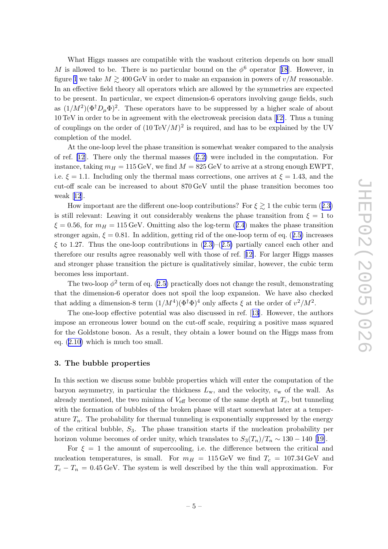<span id="page-7-0"></span>What Higgs masses are compatible with the washout criterion depends on how small Mis allowed to be. There is no particular bound on the  $\phi^6$  operator [[18](#page-21-0)]. However, in figure [1](#page-5-0) we take  $M \gtrsim 400\,\text{GeV}$  in order to make an expansion in powers of  $v/M$  reasonable. In an effective field theory all operators which are allowed by the symmetries are expected to be present. In particular, we expect dimension-6 operators involving gauge fields, such as  $(1/M^2)(\Phi^{\dagger}D_{\mu}\Phi)^2$ . These operators have to be suppressed by a higher scale of about 10 TeV in order to be in agreement with the electroweak precision data [[12\]](#page-20-0). Thus a tuning of couplings on the order of  $(10 \text{ TeV}/M)^2$  is required, and has to be explained by the UV completion of the model.

At the one-loop level the phase transition is somewhat weaker compared to the analysis of ref. [\[12\]](#page-20-0). There only the thermal masses ([2.2\)](#page-3-0) were included in the computation. For instance, taking  $m_H = 115 \,\text{GeV}$ , we find  $M = 825 \,\text{GeV}$  to arrive at a strong enough EWPT, i.e.  $\xi = 1.1$ . Including only the thermal mass corrections, one arrives at  $\xi = 1.43$ , and the cut-off scale can be increased to about 870 GeV until the phase transition becomes too weak[[12](#page-20-0)].

How important are the different one-loop contributions? For  $\xi \gtrsim 1$  the cubic term  $(2.3)$  $(2.3)$ is still relevant: Leaving it out considerably weakens the phase transition from  $\xi = 1$  to  $\xi = 0.56$ , for  $m_H = 115 \,\text{GeV}$ . Omitting also the log-term  $(2.4)$  $(2.4)$  $(2.4)$  makes the phase transition stronger again,  $\xi = 0.81$ . In addition, getting rid of the one-loop term of eq.  $(2.5)$  $(2.5)$  increases  $\xi$  to 1.27. Thus the one-loop contributions in  $(2.3)$  $(2.3)$ – $(2.5)$  $(2.5)$  partially cancel each other and therefore our results agree reasonably well with those of ref. [[12\]](#page-20-0). For larger Higgs masses and stronger phase transition the picture is qualitatively similar, however, the cubic term becomes less important.

The two-loop  $\phi^2$  term of eq. ([2.5\)](#page-4-0) practically does not change the result, demonstrating that the dimension-6 operator does not spoil the loop expansion. We have also checked that adding a dimension-8 term  $(1/M^4)(\Phi^{\dagger}\Phi)^4$  only affects  $\xi$  at the order of  $v^2/M^2$ .

The one-loop effective potential was also discussed in ref. [[13\]](#page-20-0). However, the authors impose an erroneous lower bound on the cut-off scale, requiring a positive mass squared for the Goldstone boson. As a result, they obtain a lower bound on the Higgs mass from eq. ([2.10\)](#page-5-0) which is much too small.

#### 3. The bubble properties

In this section we discuss some bubble properties which will enter the computation of the baryon asymmetry, in particular the thickness  $L_{\rm w}$ , and the velocity,  $v_{\rm w}$  of the wall. As already mentioned, the two minima of  $V_{\text{eff}}$  become of the same depth at  $T_c$ , but tunneling with the formation of bubbles of the broken phase will start somewhat later at a temperature  $T_n$ . The probability for thermal tunneling is exponentially suppressed by the energy of the critical bubble, S <sup>3</sup>. The phase transition starts if the nucleation probability per horizonvolume becomes of order unity, which translates to  $S_3(T_n)/T_n \sim 130 - 140$  [[19\]](#page-21-0).

For  $\xi = 1$  the amount of supercooling, i.e. the difference between the critical and nucleation temperatures, is small. For  $m_H = 115 \,\text{GeV}$  we find  $T_c = 107.34 \,\text{GeV}$  and  $T_c - T_n = 0.45 \,\text{GeV}$ . The system is well described by the thin wall approximation. For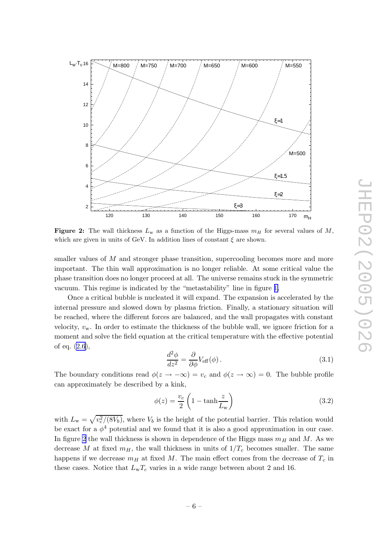<span id="page-8-0"></span>

**Figure 2:** The wall thickness  $L_w$  as a function of the Higgs-mass  $m_H$  for several values of M, which are given in units of GeV. In addition lines of constant  $\xi$  are shown.

smaller values of M and stronger phase transition, supercooling becomes more and more important. The thin wall approximation is no longer reliable. At some critical value the phase transition does no longer proceed at all. The universe remains stuck in the symmetric vacuum. This regime is indicated by the "metastability" line in figure [1.](#page-5-0)

Once a critical bubble is nucleated it will expand. The expansion is accelerated by the internal pressure and slowed down by plasma friction. Finally, a stationary situation will be reached, where the different forces are balanced, and the wall propagates with constant velocity,  $v_{\rm w}$ . In order to estimate the thickness of the bubble wall, we ignore friction for a moment and solve the field equation at the critical temperature with the effective potential of eq. [\(2.6\)](#page-4-0),

$$
\frac{d^2\phi}{dz^2} = \frac{\partial}{\partial\phi} V_{\text{eff}}(\phi). \tag{3.1}
$$

The boundary conditions read  $\phi(z \to -\infty) = v_c$  and  $\phi(z \to \infty) = 0$ . The bubble profile can approximately be described by a kink,

$$
\phi(z) = \frac{v_c}{2} \left( 1 - \tanh \frac{z}{L_{\rm w}} \right) \tag{3.2}
$$

with  $L_{\rm w} = \sqrt{v_c^2/(8V_b)}$ , where  $V_b$  is the height of the potential barrier. This relation would be exact for a  $\phi^4$  potential and we found that it is also a good approximation in our case. In figure [2](#page-7-0) the wall thickness is shown in dependence of the Higgs mass  $m_H$  and M. As we decrease M at fixed  $m_H$ , the wall thickness in units of  $1/T_c$  becomes smaller. The same happens if we decrease  $m_H$  at fixed M. The main effect comes from the decrease of  $T_c$  in these cases. Notice that  $L_wT_c$  varies in a wide range between about 2 and 16.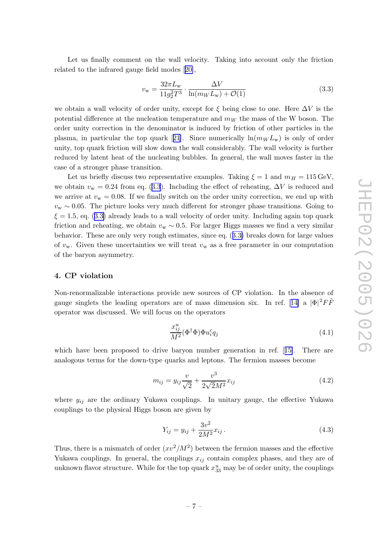<span id="page-9-0"></span>Let us finally comment on the wall velocity. Taking into account only the friction related to the infrared gauge field modes[[20\]](#page-21-0),

$$
v_{\rm w} = \frac{32\pi L_{\rm w}}{11g_2^2T^3} \cdot \frac{\Delta V}{\ln(m_W L_{\rm w}) + \mathcal{O}(1)}\tag{3.3}
$$

we obtain a wall velocity of order unity, except for  $\xi$  being close to one. Here  $\Delta V$  is the potential difference at the nucleation temperature and  $m_W$  the mass of the W boson. The order unity correction in the denominator is induced by friction of other particles in the plasma,in particular the top quark [[21](#page-21-0)]. Since numerically  $\ln(m_W L_w)$  is only of order unity, top quark friction will slow down the wall considerably. The wall velocity is further reduced by latent heat of the nucleating bubbles. In general, the wall moves faster in the case of a stronger phase transition.

Let us briefly discuss two representative examples. Taking  $\xi = 1$  and  $m_H = 115 \,\text{GeV}$ , we obtain  $v_{\rm w} = 0.24$  from eq. ([3.3](#page-8-0)). Including the effect of reheating,  $\Delta V$  is reduced and we arrive at  $v_w = 0.08$ . If we finally switch on the order unity correction, we end up with  $v_{\rm w} \sim 0.05$ . The picture looks very much different for stronger phase transitions. Going to  $\xi = 1.5$ , eq. ([3.3\)](#page-8-0) already leads to a wall velocity of order unity. Including again top quark friction and reheating, we obtain  $v_{w} \sim 0.5$ . For larger Higgs masses we find a very similar behavior. These are only very rough estimates, since eq. ([3.3\)](#page-8-0) breaks down for large values of  $v_w$ . Given these uncertainties we will treat  $v_w$  as a free parameter in our computation of the baryon asymmetry.

#### 4. CP violation

Non-renormalizable interactions provide new sources of CP violation. In the absence of gaugesinglets the leading operators are of mass dimension six. In ref. [[14\]](#page-20-0) a  $|\Phi|^2 F\tilde{F}$ operator was discussed. We will focus on the operators

$$
\frac{x_{ij}^u}{M^2}(\Phi^\dagger \Phi) \Phi u_i^c q_j \tag{4.1}
$$

which have been proposed to drive baryon number generation in ref. [[15\]](#page-20-0). There are analogous terms for the down-type quarks and leptons. The fermion masses become

$$
m_{ij} = y_{ij} \frac{v}{\sqrt{2}} + \frac{v^3}{2\sqrt{2}M^2} x_{ij}
$$
\n(4.2)

where  $y_{ij}$  are the ordinary Yukawa couplings. In unitary gauge, the effective Yukawa couplings to the physical Higgs boson are given by

$$
Y_{ij} = y_{ij} + \frac{3v^2}{2M^2} x_{ij} \,. \tag{4.3}
$$

Thus, there is a mismatch of order  $(xv^2/M^2)$  between the fermion masses and the effective Yukawa couplings. In general, the couplings  $x_{ij}$  contain complex phases, and they are of unknown flavor structure. While for the top quark  $x_{33}^u$  may be of order unity, the couplings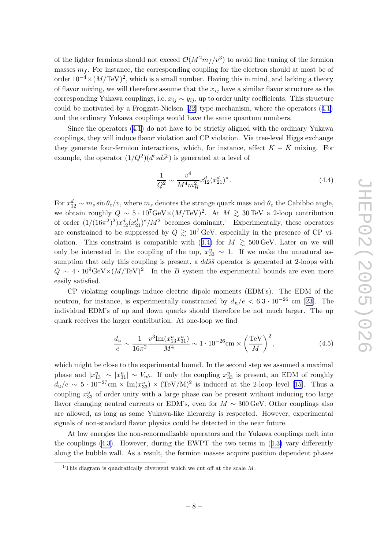<span id="page-10-0"></span>of the lighter fermions should not exceed  $\mathcal{O}(M^2 m_f/v^3)$  to avoid fine tuning of the fermion masses  $m_f$ . For instance, the corresponding coupling for the electron should at most be of order  $10^{-4} \times (M/TeV)^2$ , which is a small number. Having this in mind, and lacking a theory of flavor mixing, we will therefore assume that the  $x_{ij}$  have a similar flavor structure as the corresponding Yukawa couplings, i.e.  $x_{ij} \sim y_{ij}$ , up to order unity coefficients. This structure could be motivated by a Froggatt-Nielsen[[22\]](#page-21-0) type mechanism, where the operators ([4.1\)](#page-8-0) and the ordinary Yukawa couplings would have the same quantum numbers.

Since the operators [\(4.1\)](#page-8-0) do not have to be strictly aligned with the ordinary Yukawa couplings, they will induce flavor violation and CP violation. Via tree-level Higgs exchange they generate four-fermion interactions, which, for instance, affect  $K - \bar{K}$  mixing. For example, the operator  $(1/Q^2)(d^c s\bar{d}\bar{s}^c)$  is generated at a level of

$$
\frac{1}{Q^2} \sim \frac{v^4}{M^4 m_H^2} x_{12}^d (x_{21}^d)^* \,. \tag{4.4}
$$

For  $x_{12}^d \sim m_s \sin \theta_c/v$ , where  $m_s$  denotes the strange quark mass and  $\theta_c$  the Cabibbo angle, we obtain roughly  $Q \sim 5 \cdot 10^7 \text{GeV} \times (M/\text{TeV})^2$ . At  $M \gtrsim 30 \text{TeV}$  a 2-loop contribution of order  $(1/(16\pi^2)^2)x_{12}^d(x_{21}^d)^*/M^2$  becomes dominant.<sup>1</sup> Experimentally, these operators are constrained to be suppressed by  $Q \gtrsim 10^7 \,\text{GeV}$ , especially in the presence of CP vi-olation. This constraint is compatible with ([4.4\)](#page-9-0) for  $M \geq 500 \,\text{GeV}$ . Later on we will only be interested in the coupling of the top,  $x_{33}^u \sim 1$ . If we make the unnatural assumption that only this coupling is present, a  $dd\bar{s}\bar{s}$  operator is generated at 2-loops with  $Q \sim 4 \cdot 10^9 \text{GeV} \times (M/\text{TeV})^2$ . In the B system the experimental bounds are even more easily satisfied.

CP violating couplings induce electric dipole moments (EDM's). The EDM of the neutron,for instance, is experimentally constrained by  $d_n/e < 6.3 \cdot 10^{-26}$  cm [[23\]](#page-21-0). The individual EDM's of up and down quarks should therefore be not much larger. The up quark receives the larger contribution. At one-loop we find

$$
\frac{d_u}{e} \sim \frac{1}{16\pi^2} \frac{v^3 \text{Im}(x_{13}^u x_{31}^u)}{M^4} \sim 1 \cdot 10^{-26} \text{cm} \times \left(\frac{\text{TeV}}{M}\right)^2,\tag{4.5}
$$

which might be close to the experimental bound. In the second step we assumed a maximal phase and  $|x_{13}^u| \sim |x_{31}^u| \sim V_{ub}$ . If only the coupling  $x_{33}^u$  is present, an EDM of roughly  $d_u/e \sim 5 \cdot 10^{-27}$  $d_u/e \sim 5 \cdot 10^{-27}$  $d_u/e \sim 5 \cdot 10^{-27}$ cm × Im $(x_{33}^u) \times (TeV/M)^2$  is induced at the 2-loop level [[15\]](#page-20-0). Thus a coupling  $x_{33}^u$  of order unity with a large phase can be present without inducing too large flavor changing neutral currents or EDM's, even for  $M \sim 300 \,\text{GeV}$ . Other couplings also are allowed, as long as some Yukawa-like hierarchy is respected. However, experimental signals of non-standard flavor physics could be detected in the near future.

At low energies the non-renormalizable operators and the Yukawa couplings melt into the couplings  $(4.3)$  $(4.3)$ . However, during the EWPT the two terms in  $(4.3)$  vary differently along the bubble wall. As a result, the fermion masses acquire position dependent phases

<sup>&</sup>lt;sup>1</sup>This diagram is quadratically divergent which we cut off at the scale  $M$ .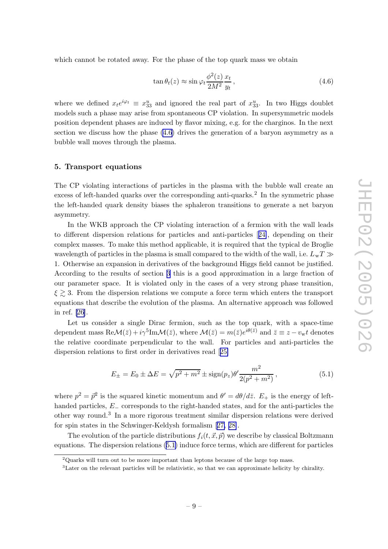<span id="page-11-0"></span>which cannot be rotated away. For the phase of the top quark mass we obtain

$$
\tan \theta_t(z) \approx \sin \varphi_t \frac{\phi^2(z)}{2M^2} \frac{x_t}{y_t},\tag{4.6}
$$

where we defined  $x_t e^{i\varphi_t} \equiv x_{33}^u$  and ignored the real part of  $x_{33}^u$ . In two Higgs doublet models such a phase may arise from spontaneous CP violation. In supersymmetric models position dependent phases are induced by flavor mixing, e.g. for the charginos. In the next section we discuss how the phase [\(4.6\)](#page-10-0) drives the generation of a baryon asymmetry as a bubble wall moves through the plasma.

#### 5. Transport equations

The CP violating interactions of particles in the plasma with the bubble wall create an excess of left-handed quarks over the corresponding anti-quarks. 2 In the symmetric phase the left-handed quark density biases the sphaleron transitions to generate a net baryon asymmetry.

In the WKB approach the CP violating interaction of a fermion with the wall leads to different dispersion relations for particles and anti-particles [[24\]](#page-21-0), depending on their complex masses. To make this method applicable, it is required that the typical de Broglie wavelength of particles in the plasma is small compared to the width of the wall, i.e.  $L_{\rm w}T \gg$ 1. Otherwise an expansion in derivatives of the background Higgs field cannot be justified. According to the results of section [3](#page-6-0) this is a good approximation in a large fraction of our parameter space. It is violated only in the cases of a very strong phase transition,  $\xi \gtrsim 3$ . From the dispersion relations we compute a force term which enters the transport equations that describe the evolution of the plasma. An alternative approach was followed in ref. [\[26](#page-21-0)].

Let us consider a single Dirac fermion, such as the top quark, with a space-time dependent mass  $\text{Re}\mathcal{M}(\bar{z}) + i\gamma^5 \text{Im}\mathcal{M}(\bar{z})$ , where  $\mathcal{M}(\bar{z}) = m(\bar{z})e^{i\theta(\bar{z})}$  and  $\bar{z} \equiv z - v_{\rm w}t$  denotes the relative coordinate perpendicular to the wall. For particles and anti-particles the dispersion relations to first order in derivatives read [[25\]](#page-21-0)

$$
E_{\pm} = E_0 \pm \Delta E = \sqrt{p^2 + m^2} \pm \text{sign}(p_z) \theta' \frac{m^2}{2(p^2 + m^2)},
$$
\n(5.1)

where  $p^2 = \bar{p}^2$  is the squared kinetic momentum and  $\theta' = d\theta/d\bar{z}$ .  $E_+$  is the energy of lefthanded particles, E<sup>−</sup> corresponds to the right-handed states, and for the anti-particles the other way round. 3 In a more rigorous treatment similar dispersion relations were derived for spin states in the Schwinger-Keldysh formalism[[27, 28\]](#page-21-0) .

The evolution of the particle distributions  $f_i(t, \vec{x}, \vec{p})$  we describe by classical Boltzmann equations. The dispersion relations ([5.1\)](#page-10-0) induce force terms, which are different for particles

 $2$ Quarks will turn out to be more important than leptons because of the large top mass.

<sup>3</sup>Later on the relevant particles will be relativistic, so that we can approximate helicity by chirality.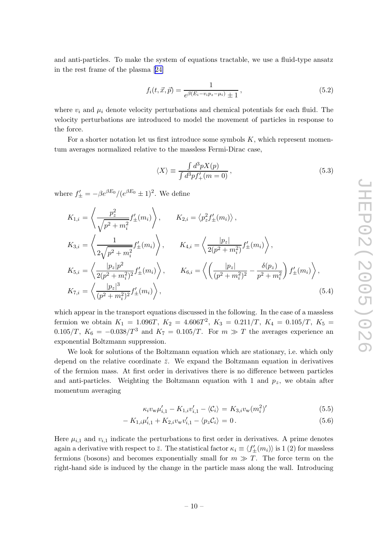<span id="page-12-0"></span>and anti-particles. To make the system of equations tractable, we use a fluid-type ansatz in the rest frame of the plasma[[24\]](#page-21-0)

$$
f_i(t, \vec{x}, \vec{p}) = \frac{1}{e^{\beta(E_i - v_i p_z - \mu_i)} \pm 1},
$$
\n(5.2)

where  $v_i$  and  $\mu_i$  denote velocity perturbations and chemical potentials for each fluid. The velocity perturbations are introduced to model the movement of particles in response to the force.

For a shorter notation let us first introduce some symbols K, which represent momentum averages normalized relative to the massless Fermi-Dirac case,

$$
\langle X \rangle \equiv \frac{\int d^3 p X(p)}{\int d^3 p f'_+(m=0)},\tag{5.3}
$$

where  $f'_{\pm} = -\beta e^{\beta E_0} / (e^{\beta E_0} \pm 1)^2$ . We define

$$
K_{1,i} = \left\langle \frac{p_z^2}{\sqrt{p^2 + m_i^2}} f'_{\pm}(m_i) \right\rangle, \qquad K_{2,i} = \left\langle p_z^2 f'_{\pm}(m_i) \right\rangle,
$$
  
\n
$$
K_{3,i} = \left\langle \frac{1}{2\sqrt{p^2 + m_i^2}} f'_{\pm}(m_i) \right\rangle, \qquad K_{4,i} = \left\langle \frac{|p_z|}{2(p^2 + m_i^2)} f'_{\pm}(m_i) \right\rangle,
$$
  
\n
$$
K_{5,i} = \left\langle \frac{|p_z| p^2}{2(p^2 + m_i^2)^2} f'_{\pm}(m_i) \right\rangle, \qquad K_{6,i} = \left\langle \left(\frac{|p_z|}{(p^2 + m_i^2)^2} - \frac{\delta(p_z)}{p^2 + m_i^2} \right) f'_{\pm}(m_i) \right\rangle,
$$
  
\n
$$
K_{7,i} = \left\langle \frac{|p_z|^3}{(p^2 + m_i^2)^2} f'_{\pm}(m_i) \right\rangle,
$$
  
\n(5.4)

which appear in the transport equations discussed in the following. In the case of a massless fermion we obtain  $K_1 = 1.096T$ ,  $K_2 = 4.606T^2$ ,  $K_3 = 0.211/T$ ,  $K_4 = 0.105/T$ ,  $K_5 =$ 0.105/T,  $K_6 = -0.038/T^3$  and  $K_7 = 0.105/T$ . For  $m \gg T$  the averages experience an exponential Boltzmann suppression.

We look for solutions of the Boltzmann equation which are stationary, i.e. which only depend on the relative coordinate  $\bar{z}$ . We expand the Boltzmann equation in derivatives of the fermion mass. At first order in derivatives there is no difference between particles and anti-particles. Weighting the Boltzmann equation with 1 and  $p_z$ , we obtain after momentum averaging

$$
\kappa_i v_{\rm w} \mu'_{i,1} - K_{1,i} v'_{i,1} - \langle C_i \rangle = K_{3,i} v_{\rm w} (m_i^2)'
$$
\n(5.5)

$$
- K_{1,i} \mu'_{i,1} + K_{2,i} v_{\rm w} v'_{i,1} - \langle p_z \mathcal{C}_i \rangle = 0.
$$
 (5.6)

Here  $\mu_{i,1}$  and  $v_{i,1}$  indicate the perturbations to first order in derivatives. A prime denotes again a derivative with respect to  $\bar{z}$ . The statistical factor  $\kappa_i \equiv \langle f'_{\pm}(m_i) \rangle$  is 1 (2) for massless fermions (bosons) and becomes exponentially small for  $m \gg T$ . The force term on the right-hand side is induced by the change in the particle mass along the wall. Introducing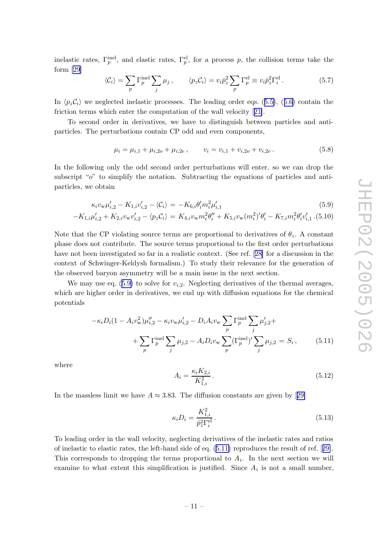<span id="page-13-0"></span>inelastic rates,  $\Gamma_p^{\text{inel}}$ , and elastic rates,  $\Gamma_p^{\text{el}}$ , for a process p, the collision terms take the form [\[29](#page-21-0)]

$$
\langle C_i \rangle = \sum_p \Gamma_p^{\text{inel}} \sum_j \mu_j \,, \qquad \langle p_z C_i \rangle = v_i \bar{p}_z^2 \sum_p \Gamma_p^{\text{el}} \equiv v_i \bar{p}_z^2 \Gamma_i^{\text{el}} \,. \tag{5.7}
$$

In  $\langle p_z C_i \rangle$  we neglected inelastic processes. The leading order eqs. ([5.5\)](#page-11-0), ([5.6\)](#page-11-0) contain the friction terms which enter the computation of the wall velocity[[21\]](#page-21-0).

To second order in derivatives, we have to distinguish between particles and antiparticles. The perturbations contain CP odd and even components,

$$
\mu_i = \mu_{i,1} + \mu_{i,2o} + \mu_{i,2e}, \qquad v_i = v_{i,1} + v_{i,2o} + v_{i,2e}. \tag{5.8}
$$

In the following only the odd second order perturbations will enter, so we can drop the subscript "o" to simplify the notation. Subtracting the equations of particles and antiparticles, we obtain

$$
\kappa_i v_{\rm w} \mu'_{i,2} - K_{1,i} v'_{i,2} - \langle \mathcal{C}_i \rangle = -K_{6,i} \theta'_i m_i^2 \mu'_{i,1} \tag{5.9}
$$

$$
K_{1,i}\mu'_{i,2} + K_{2,i}v_{w}v'_{i,2} - \langle p_{z}C_{i} \rangle = K_{4,i}v_{w}m_{i}^{2}\theta''_{i} + K_{5,i}v_{w}(m_{i}^{2})'\theta'_{i} - K_{7,i}m_{i}^{2}\theta'_{i}v'_{i,1}.
$$
(5.10)

Note that the CP violating source terms are proportional to derivatives of  $\theta_i$ . A constant phase does not contribute. The source terms proportional to the first order perturbations have not been investigated so far in a realistic context. (See ref.[[28\]](#page-21-0) for a discussion in the context of Schwinger-Keldysh formalism.) To study their relevance for the generation of the observed baryon asymmetry will be a main issue in the next section.

We may use eq.  $(5.9)$  $(5.9)$  to solve for  $v_{i,2}$ . Neglecting derivatives of the thermal averages, which are higher order in derivatives, we end up with diffusion equations for the chemical potentials

$$
-\kappa_i D_i (1 - A_i v_w^2) \mu_{i,2}'' - \kappa_i v_w \mu_{i,2}' - D_i A_i v_w \sum_p \Gamma_p^{\text{inel}} \sum_j \mu_{j,2}' +
$$
  
+ 
$$
\sum_p \Gamma_p^{\text{inel}} \sum_j \mu_{j,2} - A_i D_i v_w \sum_p (\Gamma_p^{\text{inel}})' \sum_j \mu_{j,2} = S_i , \qquad (5.11)
$$

where

−

$$
A_i = \frac{\kappa_i K_{2,i}}{K_{1,i}^2} \,. \tag{5.12}
$$

In the massless limit we have  $A \approx 3.83$ . The diffusion constants are given by [[29\]](#page-21-0)

$$
\kappa_i D_i = \frac{K_{1,i}^2}{\bar{p}_z^2 \Gamma_i^{\text{el}}} \,. \tag{5.13}
$$

To leading order in the wall velocity, neglecting derivatives of the inelastic rates and ratios of inelastic to elastic rates, the left-hand side of eq. ([5.11\)](#page-12-0) reproduces the result of ref. [[29\]](#page-21-0). This corresponds to dropping the terms proportional to  $A_i$ . In the next section we will examine to what extent this simplification is justified. Since  $A_i$  is not a small number,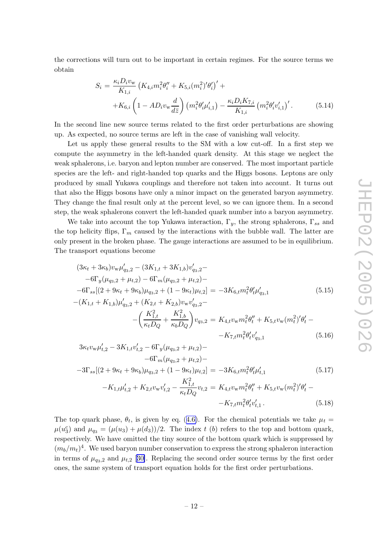<span id="page-14-0"></span>the corrections will turn out to be important in certain regimes. For the source terms we obtain

$$
S_{i} = \frac{\kappa_{i} D_{i} v_{w}}{K_{1,i}} \left( K_{4,i} m_{i}^{2} \theta_{i}^{"} + K_{5,i} (m_{i}^{2})^{"} \theta_{i}^{"}\right)^{'} ++ K_{6,i} \left( 1 - AD_{i} v_{w} \frac{d}{d\bar{z}} \right) \left( m_{i}^{2} \theta_{i}^{"} \mu_{i,1}^{"}\right) - \frac{\kappa_{i} D_{i} K_{7,i}}{K_{1,i}} \left( m_{i}^{2} \theta_{i}^{"} v_{i,1}^{"}\right)^{'}.
$$
(5.14)

In the second line new source terms related to the first order perturbations are showing up. As expected, no source terms are left in the case of vanishing wall velocity.

Let us apply these general results to the SM with a low cut-off. In a first step we compute the asymmetry in the left-handed quark density. At this stage we neglect the weak sphalerons, i.e. baryon and lepton number are conserved. The most important particle species are the left- and right-handed top quarks and the Higgs bosons. Leptons are only produced by small Yukawa couplings and therefore not taken into account. It turns out that also the Higgs bosons have only a minor impact on the generated baryon asymmetry. They change the final result only at the percent level, so we can ignore them. In a second step, the weak sphalerons convert the left-handed quark number into a baryon asymmetry.

We take into account the top Yukawa interaction,  $\Gamma_y$ , the strong sphalerons,  $\Gamma_{ss}$  and the top helicity flips,  $\Gamma_m$  caused by the interactions with the bubble wall. The latter are only present in the broken phase. The gauge interactions are assumed to be in equilibrium. The transport equations become

$$
(3\kappa_t + 3\kappa_b)v_{\rm w}\mu'_{q_3,2} - (3K_{1,t} + 3K_{1,b})v'_{q_3,2} -
$$
  
\n
$$
-6\Gamma_y(\mu_{q_3,2} + \mu_{t,2}) - 6\Gamma_m(\mu_{q_3,2} + \mu_{t,2}) -
$$
  
\n
$$
-6\Gamma_{ss}[(2 + 9\kappa_t + 9\kappa_b)\mu_{q_3,2} + (1 - 9\kappa_t)\mu_{t,2}] = -3K_{6,t}m_t^2\theta_t'\mu'_{q_3,1}
$$
  
\n
$$
-(K_{1,t} + K_{1,b})\mu'_{q_3,2} + (K_{2,t} + K_{2,b})v_{\rm w}v'_{q_3,2} -
$$
\n(5.15)

+ 
$$
K_{1,b}
$$
) $\mu'_{q_3,2}$  +  $(K_{2,t} + K_{2,b})v_w v'_{q_3,2}$   
\n-  $\left(\frac{K_{1,t}^2}{\kappa_t D_Q} + \frac{K_{1,b}^2}{\kappa_b D_Q}\right) v_{q_3,2} = K_{4,t} v_w m_t^2 \theta''_t + K_{5,t} v_w (m_t^2)' \theta'_t - K_{7,t} m_t^2 \theta'_t v'_{q_3,1}$  (5.16)

$$
3\kappa_t v_w \mu'_{t,2} - 3K_{1,t} v'_{t,2} - 6\Gamma_y (\mu_{q_3,2} + \mu_{t,2}) -
$$
  
-6 $\Gamma_m (\mu_{q_3,2} + \mu_{t,2}) -$   
-3 $\Gamma_{ss} [(2 + 9\kappa_t + 9\kappa_b) \mu_{q_3,2} + (1 - 9\kappa_t) \mu_{t,2}] = -3K_{6,t} m_t^2 \theta'_t \mu'_{t,1}$  (5.17)

$$
-K_{1,t}\mu'_{t,2} + K_{2,t}v_{w}v'_{t,2} - \frac{K_{1,t}^{2}}{\kappa_{t}D_{Q}}v_{t,2} = K_{4,t}v_{w}m_{t}^{2}\theta''_{t} + K_{5,t}v_{w}(m_{t}^{2})'\theta'_{t} - K_{7,t}m_{t}^{2}\theta'_{t}v'_{t,1}.
$$
\n(5.18)

The top quark phase,  $\theta_t$ , is given by eq. ([4.6\)](#page-10-0). For the chemical potentials we take  $\mu_t =$  $\mu(u_3^c)$  and  $\mu_{q_3} = (\mu(u_3) + \mu(d_3))/2$ . The index t (b) refers to the top and bottom quark, respectively. We have omitted the tiny source of the bottom quark which is suppressed by  $(m_b/m_t)^4$ . We used baryon number conservation to express the strong sphaleron interaction in terms of  $\mu_{q_3,2}$  and  $\mu_{t,2}$  [[30\]](#page-21-0). Replacing the second order source terms by the first order ones, the same system of transport equation holds for the first order perturbations.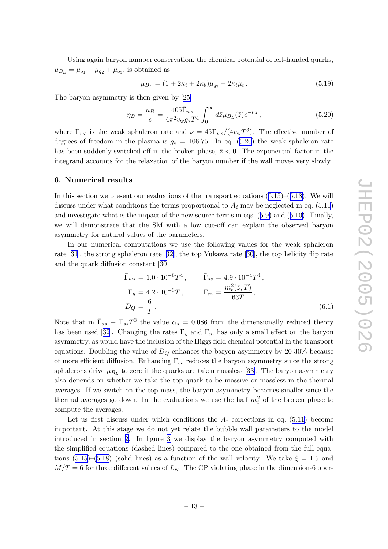<span id="page-15-0"></span>Using again baryon number conservation, the chemical potential of left-handed quarks,  $\mu_{B_L} = \mu_{q_1} + \mu_{q_2} + \mu_{q_3}$ , is obtained as

$$
\mu_{B_L} = (1 + 2\kappa_t + 2\kappa_b)\mu_{q_3} - 2\kappa_t\mu_t. \tag{5.19}
$$

The baryon asymmetry is then given by[[25\]](#page-21-0)

$$
\eta_B = \frac{n_B}{s} = \frac{405 \bar{\Gamma}_{ws}}{4\pi^2 v_w g_* T^4} \int_0^\infty d\bar{z} \mu_{B_L}(\bar{z}) e^{-\nu \bar{z}},\tag{5.20}
$$

where  $\bar{\Gamma}_{ws}$  is the weak sphaleron rate and  $\nu = 45 \bar{\Gamma}_{ws} / (4v_{w}T^3)$ . The effective number of degrees of freedom in the plasma is  $g_* = 106.75$ . In eq. ([5.20\)](#page-14-0) the weak sphaleron rate has been suddenly switched off in the broken phase,  $\bar{z}$  < 0. The exponential factor in the integrand accounts for the relaxation of the baryon number if the wall moves very slowly.

#### 6. Numerical results

In this section we present our evaluations of the transport equations  $(5.15)$  $(5.15)$ – $(5.18)$  $(5.18)$ . We will discuss under what conditions the terms proportional to  $A_i$  may be neglected in eq. [\(5.11](#page-12-0)) and investigate what is the impact of the new source terms in eqs. ([5.9\)](#page-12-0) and ([5.10\)](#page-12-0). Finally, we will demonstrate that the SM with a low cut-off can explain the observed baryon asymmetry for natural values of the parameters.

In our numerical computations we use the following values for the weak sphaleron rate[[31](#page-21-0)], the strong sphaleron rate[[32\]](#page-22-0), the top Yukawa rate[[30\]](#page-21-0), the top helicity flip rate and the quark diffusion constant [\[30\]](#page-21-0)

$$
\begin{aligned}\n\bar{\Gamma}_{ws} &= 1.0 \cdot 10^{-6} T^4, & \bar{\Gamma}_{ss} &= 4.9 \cdot 10^{-4} T^4, \\
\Gamma_y &= 4.2 \cdot 10^{-3} T, & \Gamma_m &= \frac{m_t^2(\bar{z}, T)}{63T}, \\
D_Q &= \frac{6}{T}.\n\end{aligned} \tag{6.1}
$$

Note that in  $\bar{\Gamma}_{ss} \equiv \Gamma_{ss} T^3$  the value  $\alpha_s = 0.086$  from the dimensionally reduced theory hasbeen used [[32](#page-22-0)]. Changing the rates  $\Gamma_y$  and  $\Gamma_m$  has only a small effect on the baryon asymmetry, as would have the inclusion of the Higgs field chemical potential in the transport equations. Doubling the value of  $D_Q$  enhances the baryon asymmetry by 20-30% because of more efficient diffusion. Enhancing  $\Gamma_{ss}$  reduces the baryon asymmetry since the strong sphaleronsdrive  $\mu_{B_L}$  to zero if the quarks are taken massless [[33\]](#page-22-0). The baryon asymmetry also depends on whether we take the top quark to be massive or massless in the thermal averages. If we switch on the top mass, the baryon asymmetry becomes smaller since the thermal averages go down. In the evaluations we use the half  $m_t^2$  of the broken phase to compute the averages.

Let us first discuss under which conditions the  $A_i$  corrections in eq. ([5.11\)](#page-12-0) become important. At this stage we do not yet relate the bubble wall parameters to the model introduced in section [2.](#page-3-0) In figure 3 we display the baryon asymmetry computed with the simplified equations (dashed lines) compared to the one obtained from the full equa-tions [\(5.15](#page-13-0))–[\(5.18](#page-13-0)) (solid lines) as a function of the wall velocity. We take  $\xi = 1.5$  and  $M/T = 6$  for three different values of  $L<sub>w</sub>$ . The CP violating phase in the dimension-6 oper-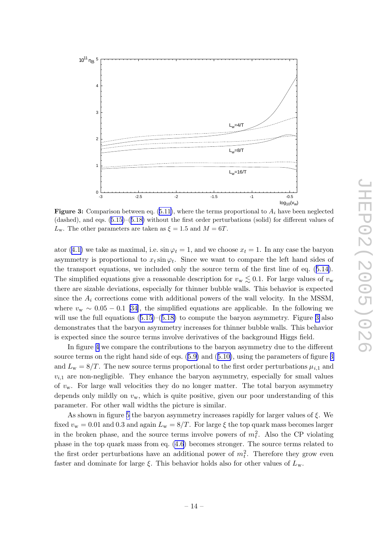<span id="page-16-0"></span>

**Figure 3:** Comparison between eq.  $(5.11)$ , where the terms proportional to  $A_i$  have been neglected (dashed), and eqs. [\(5.15\)](#page-13-0)–([5.18\)](#page-13-0) without the first order perturbations (solid) for different values of  $L_{\rm w}$ . The other parameters are taken as  $\xi = 1.5$  and  $M = 6T$ .

ator ([4.1\)](#page-8-0) we take as maximal, i.e.  $\sin \varphi_t = 1$ , and we choose  $x_t = 1$ . In any case the baryon asymmetry is proportional to  $x_t \sin \varphi_t$ . Since we want to compare the left hand sides of the transport equations, we included only the source term of the first line of eq. ([5.14\)](#page-13-0). The simplified equations give a reasonable description for  $v_{\rm w} \lesssim 0.1$ . For large values of  $v_{\rm w}$ there are sizable deviations, especially for thinner bubble walls. This behavior is expected since the  $A_i$  corrections come with additional powers of the wall velocity. In the MSSM, where  $v_{\rm w} \sim 0.05 - 0.1$  [\[34](#page-22-0)], the simplified equations are applicable. In the following we will use the full equations  $(5.15)$  $(5.15)$ – $(5.18)$  $(5.18)$  to compute the baryon asymmetry. Figure [3](#page-15-0) also demonstrates that the baryon asymmetry increases for thinner bubble walls. This behavior is expected since the source terms involve derivatives of the background Higgs field.

In figure 4 we compare the contributions to the baryon asymmetry due to the different source terms on the right hand side of eqs.  $(5.9)$  $(5.9)$  and  $(5.10)$  $(5.10)$ , using the parameters of figure [3](#page-15-0) and  $L_{\rm w} = 8/T$ . The new source terms proportional to the first order perturbations  $\mu_{i,1}$  and  $v_{i,1}$  are non-negligible. They enhance the baryon asymmetry, especially for small values of  $v_w$ . For large wall velocities they do no longer matter. The total baryon asymmetry depends only mildly on  $v_w$ , which is quite positive, given our poor understanding of this parameter. For other wall widths the picture is similar.

As shown in figure 5 the baryon asymmetry increases rapidly for larger values of ξ. We fixed  $v_{\rm w} = 0.01$  and  $0.3$  and again  $L_{\rm w} = 8/T$ . For large  $\xi$  the top quark mass becomes larger in the broken phase, and the source terms involve powers of  $m_t^2$ . Also the CP violating phase in the top quark mass from eq. [\(4.6\)](#page-10-0) becomes stronger. The source terms related to the first order perturbations have an additional power of  $m_t^2$ . Therefore they grow even faster and dominate for large  $\xi$ . This behavior holds also for other values of  $L_{\rm w}$ .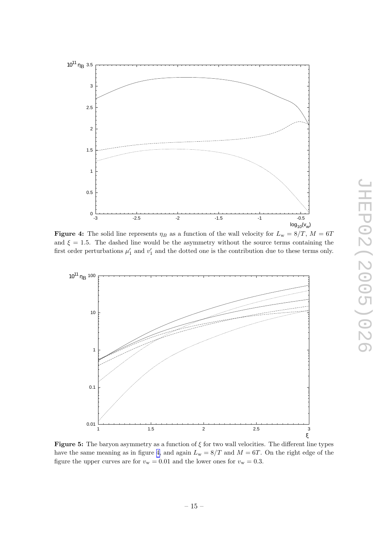<span id="page-17-0"></span>

**Figure 4:** The solid line represents  $\eta_B$  as a function of the wall velocity for  $L_w = 8/T$ ,  $M = 6T$ and  $\xi = 1.5$ . The dashed line would be the asymmetry without the source terms containing the first order perturbations  $\mu'_1$  and  $v'_1$  and the dotted one is the contribution due to these terms only.



**Figure 5:** The baryon asymmetry as a function of  $\xi$  for two wall velocities. The different line types have the same meaning as in figure [4,](#page-16-0) and again  $L_{w} = 8/T$  and  $M = 6T$ . On the right edge of the figure the upper curves are for  $v_w = 0.01$  and the lower ones for  $v_w = 0.3$ .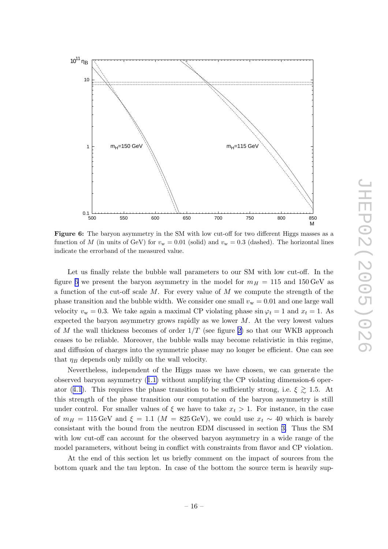<span id="page-18-0"></span>

Figure 6: The baryon asymmetry in the SM with low cut-off for two different Higgs masses as a function of M (in units of GeV) for  $v_w = 0.01$  (solid) and  $v_w = 0.3$  (dashed). The horizontal lines indicate the errorband of the measured value.

Let us finally relate the bubble wall parameters to our SM with low cut-off. In the figure [6](#page-17-0) we present the baryon asymmetry in the model for  $m_H = 115$  and  $150 \,\text{GeV}$  as a function of the cut-off scale M. For every value of M we compute the strength of the phase transition and the bubble width. We consider one small  $v_w = 0.01$  and one large wall velocity  $v_w = 0.3$ . We take again a maximal CP violating phase  $\sin \varphi_t = 1$  and  $x_t = 1$ . As expected the baryon asymmetry grows rapidly as we lower  $M$ . At the very lowest values of M the wall thickness becomes of order  $1/T$  (see figure [2\)](#page-7-0) so that our WKB approach ceases to be reliable. Moreover, the bubble walls may become relativistic in this regime, and diffusion of charges into the symmetric phase may no longer be efficient. One can see that  $\eta_B$  depends only mildly on the wall velocity.

Nevertheless, independent of the Higgs mass we have chosen, we can generate the observed baryon asymmetry ([1.1\)](#page-2-0) without amplifying the CP violating dimension-6 oper-ator ([4.1](#page-8-0)). This requires the phase transition to be sufficiently strong, i.e.  $\xi \geq 1.5$ . At this strength of the phase transition our computation of the baryon asymmetry is still under control. For smaller values of  $\xi$  we have to take  $x_t > 1$ . For instance, in the case of  $m_H = 115 \,\text{GeV}$  and  $\xi = 1.1 \,(M = 825 \,\text{GeV})$ , we could use  $x_t \sim 40$  which is barely consistant with the bound from the neutron EDM discussed in section [3.](#page-6-0) Thus the SM with low cut-off can account for the observed baryon asymmetry in a wide range of the model parameters, without being in conflict with constraints from flavor and CP violation.

At the end of this section let us briefly comment on the impact of sources from the bottom quark and the tau lepton. In case of the bottom the source term is heavily sup-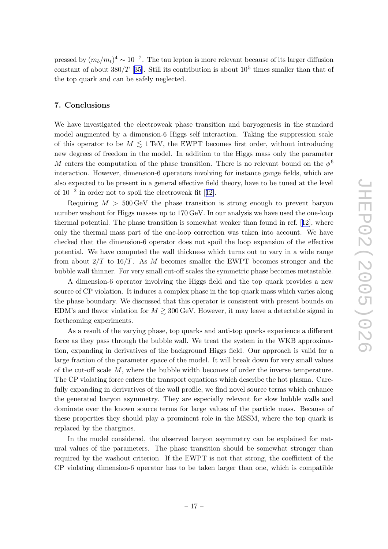<span id="page-19-0"></span>pressed by  $(m_b/m_t)^4 \sim 10^{-7}$ . The tau lepton is more relevant because of its larger diffusion constant of about  $380/T$  [\[35\]](#page-22-0). Still its contribution is about  $10^5$  times smaller than that of the top quark and can be safely neglected.

#### 7. Conclusions

We have investigated the electroweak phase transition and baryogenesis in the standard model augmented by a dimension-6 Higgs self interaction. Taking the suppression scale of this operator to be  $M \lesssim 1 \,\text{TeV}$ , the EWPT becomes first order, without introducing new degrees of freedom in the model. In addition to the Higgs mass only the parameter M enters the computation of the phase transition. There is no relevant bound on the  $\phi^6$ interaction. However, dimension-6 operators involving for instance gauge fields, which are also expected to be present in a general effective field theory, have to be tuned at the level of  $10^{-2}$  in order not to spoil the electroweak fit [[12\]](#page-20-0).

Requiring  $M > 500 \,\text{GeV}$  the phase transition is strong enough to prevent baryon number washout for Higgs masses up to 170 GeV. In our analysis we have used the one-loop thermal potential. The phase transition is somewhat weaker than found in ref. [[12\]](#page-20-0), where only the thermal mass part of the one-loop correction was taken into account. We have checked that the dimension-6 operator does not spoil the loop expansion of the effective potential. We have computed the wall thickness which turns out to vary in a wide range from about  $2/T$  to  $16/T$ . As M becomes smaller the EWPT becomes stronger and the bubble wall thinner. For very small cut-off scales the symmetric phase becomes metastable.

A dimension-6 operator involving the Higgs field and the top quark provides a new source of CP violation. It induces a complex phase in the top quark mass which varies along the phase boundary. We discussed that this operator is consistent with present bounds on EDM's and flavor violation for  $M \gtrsim 300 \,\text{GeV}$ . However, it may leave a detectable signal in forthcoming experiments.

As a result of the varying phase, top quarks and anti-top quarks experience a different force as they pass through the bubble wall. We treat the system in the WKB approximation, expanding in derivatives of the background Higgs field. Our approach is valid for a large fraction of the parameter space of the model. It will break down for very small values of the cut-off scale M, where the bubble width becomes of order the inverse temperature. The CP violating force enters the transport equations which describe the hot plasma. Carefully expanding in derivatives of the wall profile, we find novel source terms which enhance the generated baryon asymmetry. They are especially relevant for slow bubble walls and dominate over the known source terms for large values of the particle mass. Because of these properties they should play a prominent role in the MSSM, where the top quark is replaced by the charginos.

In the model considered, the observed baryon asymmetry can be explained for natural values of the parameters. The phase transition should be somewhat stronger than required by the washout criterion. If the EWPT is not that strong, the coefficient of the CP violating dimension-6 operator has to be taken larger than one, which is compatible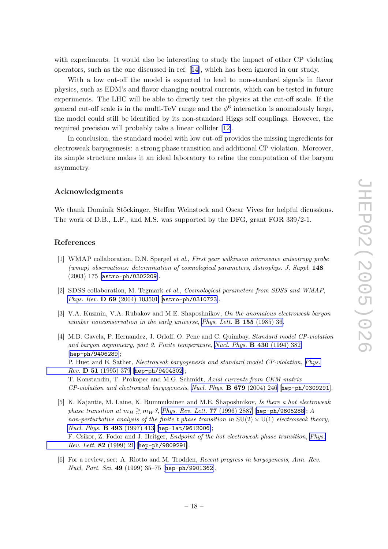<span id="page-20-0"></span>with experiments. It would also be interesting to study the impact of other CP violating operators, such as the one discussed in ref. [14], which has been ignored in our study.

With a low cut-off the model is expected to lead to non-standard signals in flavor physics, such as EDM's and flavor changing neutral currents, which can be tested in future experiments. The LHC will be able to directly test the physics at the cut-off scale. If the general cut-off scale is in the multi-TeV range and the  $\phi^6$  interaction is anomalously large, the model could still be identified by its non-standard Higgs self couplings. However, the required precision will probably take a linear collider [12].

In conclusion, the standard model with low cut-off provides the missing ingredients for electroweak baryogenesis: a strong phase transition and additional CP violation. Moreover, its simple structure makes it an ideal laboratory to refine the computation of the baryon asymmetry.

#### Acknowledgments

We thank Dominik Stöckinger, Steffen Weinstock and Oscar Vives for helpful dicussions. The work of D.B., L.F., and M.S. was supported by the DFG, grant FOR 339/2-1.

#### References

- [1] WMAP collaboration, D.N. Spergel et al. , First year wilkinson microwave anisotropy probe (wmap) observations: determination of cosmological parameters , Astrophys. J. Suppl. 148 (2003) 175 [[astro-ph/0302209](http://xxx.lanl.gov/abs/astro-ph/0302209)].
- [2] SDSS collaboration, M. Tegmark *et al., Cosmological parameters from SDSS and WMAP*, Phys. Rev. D 69 [\(2004\) 103501](http://www-spires.slac.stanford.edu/spires/find/hep/www?j=PHRVA%2CD69%2C103501) [[astro-ph/0310723](http://xxx.lanl.gov/abs/astro-ph/0310723)].
- [3] V.A. Kuzmin, V.A. Rubakov and M.E. Shaposhnikov, On the anomalous electroweak baryon number nonconservation in the early universe, [Phys. Lett.](http://www-spires.slac.stanford.edu/spires/find/hep/www?j=PHLTA%2CB155%2C36) **B 155** (1985) 36.
- [4] M.B. Gavela, P. Hernandez, J. Orloff, O. Pene and C. Quimbay, Standard model CP-violation and baryon asymmetry, part 2. Finite temperature, [Nucl. Phys.](http://www-spires.slac.stanford.edu/spires/find/hep/www?j=NUPHA%2CB430%2C382) **B 430** (1994) 382 [[hep-ph/9406289](http://xxx.lanl.gov/abs/hep-ph/9406289)]; P. Huet and E. Sather, *Electroweak baryogenesis and standard model CP-violation*, *[Phys.](http://www-spires.slac.stanford.edu/spires/find/hep/www?j=PHRVA%2CD51%2C379)* Rev. D 51 [\(1995\) 379](http://www-spires.slac.stanford.edu/spires/find/hep/www?j=PHRVA%2CD51%2C379) [[hep-ph/9404302](http://xxx.lanl.gov/abs/hep-ph/9404302)]; T. Konstandin, T. Prokopec and M.G. Schmidt, Axial currents from CKM matrix CP-violation and electroweak baryogenesis , [Nucl. Phys.](http://www-spires.slac.stanford.edu/spires/find/hep/www?j=NUPHA%2CB679%2C246) B 679 (2004) 246 [[hep-ph/0309291](http://xxx.lanl.gov/abs/hep-ph/0309291)].
- [5] K. Kajantie, M. Laine, K. Rummukainen and M.E. Shaposhnikov, Is there a hot electroweak phase transition at  $m_H \gtrsim m_W$ ?, [Phys. Rev. Lett.](http://www-spires.slac.stanford.edu/spires/find/hep/www?j=PRLTA%2C77%2C2887) 77 (1996) 2887 [[hep-ph/9605288](http://xxx.lanl.gov/abs/hep-ph/9605288)]; A non-perturbative analysis of the finite t phase transition in  $SU(2) \times U(1)$  electroweak theory, [Nucl. Phys.](http://www-spires.slac.stanford.edu/spires/find/hep/www?j=NUPHA%2CB493%2C413) B 493 (1997) 413 [[hep-lat/9612006](http://xxx.lanl.gov/abs/hep-lat/9612006)]; F. Csikor, Z. Fodor and J. Heitger, *Endpoint of the hot electroweak phase transition*, *[Phys.](http://www-spires.slac.stanford.edu/spires/find/hep/www?j=PRLTA%2C82%2C21)* [Rev. Lett.](http://www-spires.slac.stanford.edu/spires/find/hep/www?j=PRLTA%2C82%2C21) 82 (1999) 21 [[hep-ph/9809291](http://xxx.lanl.gov/abs/hep-ph/9809291)].
- [6] For a review, see: A. Riotto and M. Trodden, Recent progress in baryogenesis, Ann. Rev. Nucl. Part. Sci. 49 (1999) 35–75 [[hep-ph/9901362](http://xxx.lanl.gov/abs/hep-ph/9901362)].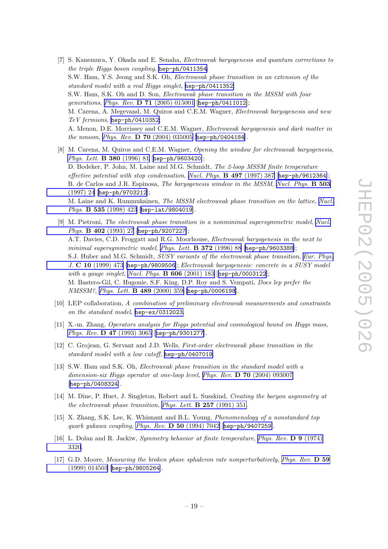- <span id="page-21-0"></span>[7] S. Kanemura, Y. Okada and E. Senaha, Electroweak baryogenesis and quantum corrections to the triple Higgs boson coupling, [hep-ph/0411354](http://xxx.lanl.gov/abs/hep-ph/0411354); S.W. Ham, Y.S. Jeong and S.K. Oh, Electroweak phase transition in an extension of the standard model with a real Higgs singlet, [hep-ph/0411352](http://xxx.lanl.gov/abs/hep-ph/0411352); S.W. Ham, S.K. Oh and D. Son, Electroweak phase transition in the MSSM with four generations, Phys. Rev. D 71 [\(2005\) 015001](http://www-spires.slac.stanford.edu/spires/find/hep/www?j=PHRVA%2CD71%2C015001) [[hep-ph/0411012](http://xxx.lanl.gov/abs/hep-ph/0411012)]; M. Carena, A. Megevand, M. Quiros and C.E.M. Wagner, Electroweak baryogenesis and new TeV fermions , [hep-ph/0410352](http://xxx.lanl.gov/abs/hep-ph/0410352) ; A. Menon, D.E. Morrissey and C.E.M. Wagner, Electroweak baryogenesis and dark matter in the nmssm, Phys. Rev. **D 70** [\(2004\) 035005](http://www-spires.slac.stanford.edu/spires/find/hep/www?j=PHRVA%2CD70%2C035005) [[hep-ph/0404184](http://xxx.lanl.gov/abs/hep-ph/0404184)].
- [8] M. Carena, M. Quiros and C.E.M. Wagner, Opening the window for electroweak baryogenesis, [Phys. Lett.](http://www-spires.slac.stanford.edu/spires/find/hep/www?j=PHLTA%2CB380%2C81) B 380 (1996) 81 [[hep-ph/9603420](http://xxx.lanl.gov/abs/hep-ph/9603420)]; D. Bodeker, P. John, M. Laine and M.G. Schmidt, The 2-loop MSSM finite temperature effective potential with stop condensation, [Nucl. Phys.](http://www-spires.slac.stanford.edu/spires/find/hep/www?j=NUPHA%2CB497%2C387) **B 497** (1997) 387 [[hep-ph/9612364](http://xxx.lanl.gov/abs/hep-ph/9612364)]; B. de Carlos and J.R. Espinosa, The baryogenesis window in the MSSM, [Nucl. Phys.](http://www-spires.slac.stanford.edu/spires/find/hep/www?j=NUPHA%2CB503%2C24) B 503 [\(1997\) 24](http://www-spires.slac.stanford.edu/spires/find/hep/www?j=NUPHA%2CB503%2C24) [[hep-ph/9703212](http://xxx.lanl.gov/abs/hep-ph/9703212)]; M. Laine and K. Rummukainen, *The MSSM electroweak phase transition on the lattice*, *[Nucl.](http://www-spires.slac.stanford.edu/spires/find/hep/www?j=NUPHA%2CB535%2C423)* Phys. B 535 [\(1998\) 423](http://www-spires.slac.stanford.edu/spires/find/hep/www?j=NUPHA%2CB535%2C423) [[hep-lat/9804019](http://xxx.lanl.gov/abs/hep-lat/9804019)].
- [9] M. Pietroni, The electroweak phase transition in a nonminimal supersymmetric model, [Nucl.](http://www-spires.slac.stanford.edu/spires/find/hep/www?j=NUPHA%2CB402%2C27) Phys. B 402 [\(1993\) 27](http://www-spires.slac.stanford.edu/spires/find/hep/www?j=NUPHA%2CB402%2C27) [[hep-ph/9207227](http://xxx.lanl.gov/abs/hep-ph/9207227)]; A.T. Davies, C.D. Froggatt and R.G. Moorhouse, *Electroweak baryogenesis in the next to*  $minimal\ supersymmetric\ model, Phys. \ Lett. \ B$  372 (1996) 88 [[hep-ph/9603388](http://xxx.lanl.gov/abs/hep-ph/9603388)]; S.J. Huber and M.G. Schmidt, *SUSY variants of the electroweak phase transition, [Eur. Phys.](http://www-spires.slac.stanford.edu/spires/find/hep/www?j=EPHJA%2CC10%2C473)* J. C 10 [\(1999\) 473](http://www-spires.slac.stanford.edu/spires/find/hep/www?j=EPHJA%2CC10%2C473) [[hep-ph/9809506](http://xxx.lanl.gov/abs/hep-ph/9809506)]; Electroweak baryogenesis: concrete in a SUSY model with a gauge singlet, [Nucl. Phys.](http://www-spires.slac.stanford.edu/spires/find/hep/www?j=NUPHA%2CB606%2C183)  $\bf{B} 606$  (2001) 183 [[hep-ph/0003122](http://xxx.lanl.gov/abs/hep-ph/0003122)]; M. Bastero-Gil, C. Hugonie, S.F. King, D.P. Roy and S. Vempati, Does lep prefer the NMSSM?, [Phys. Lett.](http://www-spires.slac.stanford.edu/spires/find/hep/www?j=PHLTA%2CB489%2C359) **B 489** (2000) 359 [[hep-ph/0006198](http://xxx.lanl.gov/abs/hep-ph/0006198)].
- [10] LEP collaboration, A combination of preliminary electroweak measurements and constraints on the standard model , [hep-ex/0312023](http://xxx.lanl.gov/abs/hep-ex/0312023) .
- [11] X.-m. Zhang, Operators analysis for Higgs potential and cosmological bound on Higgs mass , Phys. Rev. **D** 47 [\(1993\) 3065](http://www-spires.slac.stanford.edu/spires/find/hep/www?j=PHRVA%2CD47%2C3065) [[hep-ph/9301277](http://xxx.lanl.gov/abs/hep-ph/9301277)].
- [12] C. Grojean, G. Servant and J.D. Wells, First-order electroweak phase transition in the standard model with a low cutoff, [hep-ph/0407019](http://xxx.lanl.gov/abs/hep-ph/0407019) .
- [13] S.W. Ham and S.K. Oh, Electroweak phase transition in the standard model with a dimension-six Higgs operator at one-loop level, Phys. Rev. **D 70** [\(2004\) 093007](http://www-spires.slac.stanford.edu/spires/find/hep/www?j=PHRVA%2CD70%2C093007) [[hep-ph/0408324](http://xxx.lanl.gov/abs/hep-ph/0408324)].
- [14] M. Dine, P. Huet, J. Singleton, Robert and L. Susskind, Creating the baryon asymmetry at the electroweak phase transition, [Phys. Lett.](http://www-spires.slac.stanford.edu/spires/find/hep/www?j=PHLTA%2CB257%2C351)  $\bf{B}$  257 (1991) 351.
- [15] X. Zhang, S.K. Lee, K. Whisnant and B.L. Young, Phenomenology of a nonstandard top quark yukawa coupling, Phys. Rev. D 50 [\(1994\) 7042](http://www-spires.slac.stanford.edu/spires/find/hep/www?j=PHRVA%2CD50%2C7042) [[hep-ph/9407259](http://xxx.lanl.gov/abs/hep-ph/9407259)].
- [16] L. Dolan and R. Jackiw, *Symmetry behavior at finite temperature*, *[Phys. Rev.](http://www-spires.slac.stanford.edu/spires/find/hep/www?j=PHRVA%2CD9%2C3320)* **D** 9 (1974) [3320](http://www-spires.slac.stanford.edu/spires/find/hep/www?j=PHRVA%2CD9%2C3320).
- [17] G.D. Moore, Measuring the broken phase sphaleron rate nonperturbatively, [Phys. Rev.](http://www-spires.slac.stanford.edu/spires/find/hep/www?j=PHRVA%2CD59%2C014503) D 59 [\(1999\) 014503](http://www-spires.slac.stanford.edu/spires/find/hep/www?j=PHRVA%2CD59%2C014503) [[hep-ph/9805264](http://xxx.lanl.gov/abs/hep-ph/9805264)].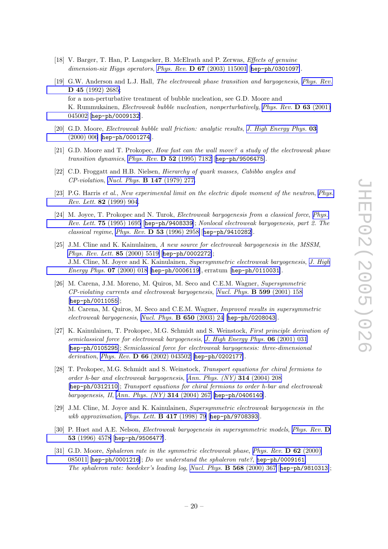- <span id="page-22-0"></span>[18] V. Barger, T. Han, P. Langacker, B. McElrath and P. Zerwas, Effects of genuine dimension-six Higgs operators, Phys. Rev. D 67 [\(2003\) 115001](http://www-spires.slac.stanford.edu/spires/find/hep/www?j=PHRVA%2CD67%2C115001) [[hep-ph/0301097](http://xxx.lanl.gov/abs/hep-ph/0301097)].
- [19] G.W. Anderson and L.J. Hall, *The electroweak phase transition and baryogenesis*, *[Phys. Rev.](http://www-spires.slac.stanford.edu/spires/find/hep/www?j=PHRVA%2CD45%2C2685)* D 45 [\(1992\) 2685;](http://www-spires.slac.stanford.edu/spires/find/hep/www?j=PHRVA%2CD45%2C2685) for a non-perturbative treatment of bubble nucleation, see G.D. Moore and K. Rummukainen, *Electroweak bubble nucleation, nonperturbatively, [Phys. Rev.](http://www-spires.slac.stanford.edu/spires/find/hep/www?j=PHRVA%2CD63%2C045002)* **D 63** (2001) [045002](http://www-spires.slac.stanford.edu/spires/find/hep/www?j=PHRVA%2CD63%2C045002) [[hep-ph/0009132](http://xxx.lanl.gov/abs/hep-ph/0009132)].
- [20] G.D. Moore, Electroweak bubble wall friction: analytic results, [J. High Energy Phys.](http://jhep.sissa.it/stdsearch?paper=03%282000%29006) 03 [\(2000\) 006](http://jhep.sissa.it/stdsearch?paper=03%282000%29006) [[hep-ph/0001274](http://xxx.lanl.gov/abs/hep-ph/0001274)].
- [21] G.D. Moore and T. Prokopec, *How fast can the wall move?* a study of the electroweak phase transition dynamics, Phys. Rev. **D 52** [\(1995\) 7182](http://www-spires.slac.stanford.edu/spires/find/hep/www?j=PHRVA%2CD52%2C7182) [[hep-ph/9506475](http://xxx.lanl.gov/abs/hep-ph/9506475)].
- [22] C.D. Froggatt and H.B. Nielsen, Hierarchy of quark masses, Cabibbo angles and CP-violation , [Nucl. Phys.](http://www-spires.slac.stanford.edu/spires/find/hep/www?j=NUPHA%2CB147%2C277) B 147 (1979) 277.
- [23] P.G. Harris et al., New experimental limit on the electric dipole moment of the neutron, [Phys.](http://www-spires.slac.stanford.edu/spires/find/hep/www?j=PRLTA%2C82%2C904) Rev. Lett. 82 [\(1999\) 904](http://www-spires.slac.stanford.edu/spires/find/hep/www?j=PRLTA%2C82%2C904).
- [24] M. Joyce, T. Prokopec and N. Turok, *Electroweak baryogenesis from a classical force*, *[Phys.](http://www-spires.slac.stanford.edu/spires/find/hep/www?j=PRLTA%2C75%2C1695)* Rev. Lett. 75 [\(1995\) 1695](http://www-spires.slac.stanford.edu/spires/find/hep/www?j=PRLTA%2C75%2C1695) [[hep-ph/9408339](http://xxx.lanl.gov/abs/hep-ph/9408339)]; Nonlocal electroweak baryogenesis, part 2. The classical regime , Phys. Rev. D 53 [\(1996\) 2958](http://www-spires.slac.stanford.edu/spires/find/hep/www?j=PHRVA%2CD53%2C2958) [[hep-ph/9410282](http://xxx.lanl.gov/abs/hep-ph/9410282)].
- [25] J.M. Cline and K. Kainulainen, A new source for electroweak baryogenesis in the MSSM, [Phys. Rev. Lett.](http://www-spires.slac.stanford.edu/spires/find/hep/www?j=PRLTA%2C85%2C5519) 85 (2000) 5519 [[hep-ph/0002272](http://xxx.lanl.gov/abs/hep-ph/0002272)]; J.M. Cline, M. Joyce and K. Kainulainen, *Supersymmetric electroweak baryogenesis, [J. High](http://jhep.sissa.it/stdsearch?paper=07%282000%29018)* [Energy Phys.](http://jhep.sissa.it/stdsearch?paper=07%282000%29018) 07 (2000) 018 [[hep-ph/0006119](http://xxx.lanl.gov/abs/hep-ph/0006119)], erratum [[hep-ph/0110031](http://xxx.lanl.gov/abs/hep-ph/0110031)].
- [26] M. Carena, J.M. Moreno, M. Quiros, M. Seco and C.E.M. Wagner, Supersymmetric CP-violating currents and electroweak baryogenesis , [Nucl. Phys.](http://www-spires.slac.stanford.edu/spires/find/hep/www?j=NUPHA%2CB599%2C158) B 599 (2001) 158 [[hep-ph/0011055](http://xxx.lanl.gov/abs/hep-ph/0011055)]; M. Carena, M. Quiros, M. Seco and C.E.M. Wagner, Improved results in supersymmetric electroweak baryogenesis, [Nucl. Phys.](http://www-spires.slac.stanford.edu/spires/find/hep/www?j=NUPHA%2CB650%2C24) B 650 (2003) 24 [[hep-ph/0208043](http://xxx.lanl.gov/abs/hep-ph/0208043)].
- [27] K. Kainulainen, T. Prokopec, M.G. Schmidt and S. Weinstock, First principle derivation of semiclassical force for electroweak baryogenesis, [J. High Energy Phys.](http://jhep.sissa.it/stdsearch?paper=06%282001%29031) 06 (2001) 031 [[hep-ph/0105295](http://xxx.lanl.gov/abs/hep-ph/0105295)]; Semiclassical force for electroweak baryogenesis: three-dimensional derivation, Phys. Rev. D 66 [\(2002\) 043502](http://www-spires.slac.stanford.edu/spires/find/hep/www?j=PHRVA%2CD66%2C043502) [[hep-ph/0202177](http://xxx.lanl.gov/abs/hep-ph/0202177)].
- [28] T. Prokopec, M.G. Schmidt and S. Weinstock, Transport equations for chiral fermions to order h-bar and electroweak baryogenesis , [Ann. Phys. \(NY\)](http://www-spires.slac.stanford.edu/spires/find/hep/www?j=APNYA%2C314%2C208) 314 (2004) 208 [[hep-ph/0312110](http://xxx.lanl.gov/abs/hep-ph/0312110)]; Transport equations for chiral fermions to order h-bar and electroweak baryogenesis, II, [Ann. Phys. \(NY\)](http://www-spires.slac.stanford.edu/spires/find/hep/www?j=APNYA%2C314%2C267) 314 (2004) 267 [[hep-ph/0406140](http://xxx.lanl.gov/abs/hep-ph/0406140)].
- [29] J.M. Cline, M. Joyce and K. Kainulainen, Supersymmetric electroweak baryogenesis in the wkb approximation, [Phys. Lett.](http://www-spires.slac.stanford.edu/spires/find/hep/www?j=PHLTA%2CB417%2C79) **B 417** (1998) 79 [[hep-ph/9708393](http://xxx.lanl.gov/abs/hep-ph/9708393)].
- [30] P. Huet and A.E. Nelson, *Electroweak baryogenesis in supersymmetric models*, *[Phys. Rev.](http://www-spires.slac.stanford.edu/spires/find/hep/www?j=PHRVA%2CD53%2C4578)* D 53 [\(1996\) 4578](http://www-spires.slac.stanford.edu/spires/find/hep/www?j=PHRVA%2CD53%2C4578) [[hep-ph/9506477](http://xxx.lanl.gov/abs/hep-ph/9506477)].
- [31] G.D. Moore, Sphaleron rate in the symmetric electroweak phase, [Phys. Rev.](http://www-spires.slac.stanford.edu/spires/find/hep/www?j=PHRVA%2CD62%2C085011) D 62 (2000) [085011](http://www-spires.slac.stanford.edu/spires/find/hep/www?j=PHRVA%2CD62%2C085011) [[hep-ph/0001216](http://xxx.lanl.gov/abs/hep-ph/0001216)]; Do we understand the sphaleron rate?, [hep-ph/0009161](http://xxx.lanl.gov/abs/hep-ph/0009161); The sphaleron rate: boedeker's leading log , [Nucl. Phys.](http://www-spires.slac.stanford.edu/spires/find/hep/www?j=NUPHA%2CB568%2C367) B 568 (2000) 367 [[hep-ph/9810313](http://xxx.lanl.gov/abs/hep-ph/9810313)];